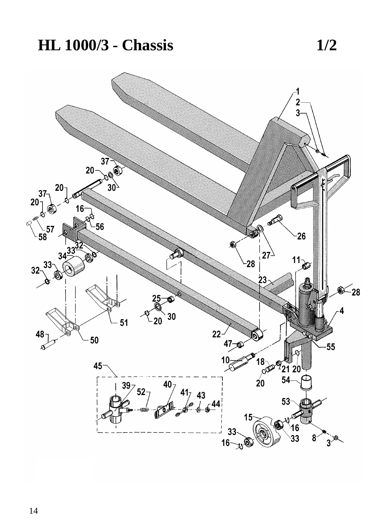## **HL 1000/3 - Chassis 1/2**

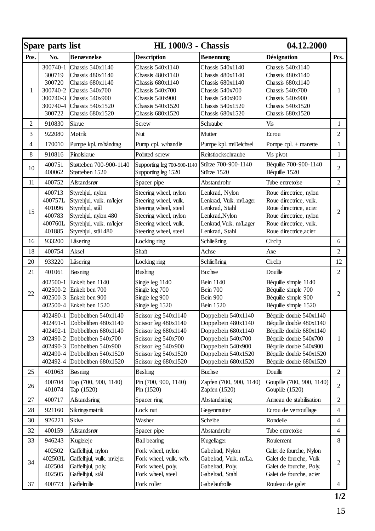|              | Spare parts list                                           |                                                                                                                                                                                                                            | <b>HL</b> 1000/3 - Chassis                                                                                                                                         |                                                                                                                                                             | 04.12.2000                                                                                                                                                                                     |                |
|--------------|------------------------------------------------------------|----------------------------------------------------------------------------------------------------------------------------------------------------------------------------------------------------------------------------|--------------------------------------------------------------------------------------------------------------------------------------------------------------------|-------------------------------------------------------------------------------------------------------------------------------------------------------------|------------------------------------------------------------------------------------------------------------------------------------------------------------------------------------------------|----------------|
| Pos.         | No.                                                        | <b>Benævnelse</b>                                                                                                                                                                                                          | <b>Description</b>                                                                                                                                                 | <b>Benennung</b>                                                                                                                                            | <b>Désignation</b>                                                                                                                                                                             | Pcs.           |
| $\mathbf{1}$ | 300740-1<br>300719<br>300720<br>300722                     | Chassis 540x1140<br>Chassis 480x1140<br>Chassis 680x1140<br>300740-2 Chassis 540x700<br>300740-3 Chassis 540x900<br>300740-4 Chassis 540x1520<br>Chassis 680x1520                                                          | Chassis 540x1140<br>Chassis 480x1140<br>Chassis 680x1140<br>Chassis 540x700<br>Chassis 540x900<br>Chassis 540x1520<br>Chassis 680x1520                             | Chassis 540x1140<br>Chassis 480x1140<br>Chassis 680x1140<br>Chassis 540x700<br>Chassis 540x900<br>Chassis 540x1520<br>Chassis 680x1520                      | Chassis 540x1140<br>Chassis 480x1140<br>Chassis 680x1140<br>Chassis 540x700<br>Chassis 540x900<br>Chassis 540x1520<br>Chassis 680x1520                                                         | 1              |
| 2            | 910830                                                     | <b>Skrue</b>                                                                                                                                                                                                               | Screw                                                                                                                                                              | Schraube                                                                                                                                                    | Vis                                                                                                                                                                                            | 1              |
| 3            | 922080                                                     | Møtrik                                                                                                                                                                                                                     | Nut                                                                                                                                                                | Mutter                                                                                                                                                      | Ecrou                                                                                                                                                                                          | $\overline{c}$ |
| 4            | 170010                                                     | Pumpe kpl. m/håndtag                                                                                                                                                                                                       | Pump cpl. w/handle                                                                                                                                                 | Pumpe kpl. m/Deichsel                                                                                                                                       | Pompe cpl. + manette                                                                                                                                                                           | $\mathbf{1}$   |
| 8            | 910816                                                     | Pinolskrue                                                                                                                                                                                                                 | Pointed screw                                                                                                                                                      | Reitstiockschraube                                                                                                                                          | Vis pivot                                                                                                                                                                                      | $\mathbf{1}$   |
| 10           | 400751<br>400062                                           | Støtteben 700-900-1140<br>Støtteben 1520                                                                                                                                                                                   | Supporting leg 700-900-1140<br>Supporting leg 1520                                                                                                                 | Stütze 700-900-1140<br>Stütze 1520                                                                                                                          | Béquille 700-900-1140<br>Béquille 1520                                                                                                                                                         | $\overline{c}$ |
| 11           | 400752                                                     | Afstandsrør                                                                                                                                                                                                                | Spacer pipe                                                                                                                                                        | Abstandrohr                                                                                                                                                 | Tube entretoise                                                                                                                                                                                | $\overline{c}$ |
| 15           | 400713<br>400757L<br>401096<br>400783<br>400760L<br>401885 | Styrehjul, nylon<br>Styrehjul, vulk. m/lejer<br>Styrehjul, stål<br>Styrehjul, nylon 480<br>Styrehjul, vulk. m/lejer<br>Styrehjul, stål 480                                                                                 | Steering wheel, nylon<br>Steering wheel, vulk.<br>Steering wheel, steel<br>Steering wheel, nylon<br>Steering wheel, vulk.<br>Steering wheel, steel                 | Lenkrad, Nylon<br>Lenkrad, Vulk. m/Lager<br>Lenkrad, Stahl<br>Lenkrad, Nylon<br>Lenkrad, Vulk. m/Lager<br>Lenkrad, Stahl                                    | Roue directrice, nylon<br>Roue directrice, vulk.<br>Roue directrice, acier<br>Roue directrice, nylon<br>Roue directrice, vulk.<br>Roue directrice, acier                                       | $\overline{2}$ |
| 16           | 933200                                                     | Låsering                                                                                                                                                                                                                   | Locking ring                                                                                                                                                       | Schließring                                                                                                                                                 | Circlip                                                                                                                                                                                        | 6              |
| 18           | 400754                                                     | Aksel                                                                                                                                                                                                                      | Shaft                                                                                                                                                              | Achse                                                                                                                                                       | Axe                                                                                                                                                                                            | $\overline{c}$ |
| 20           | 933220                                                     | Låsering                                                                                                                                                                                                                   | Locking ring                                                                                                                                                       | Schließring                                                                                                                                                 | Circlip                                                                                                                                                                                        | 12             |
| 21           | 401061                                                     | Bøsning                                                                                                                                                                                                                    | <b>Bushing</b>                                                                                                                                                     | <b>Buchse</b>                                                                                                                                               | Douille                                                                                                                                                                                        | $\overline{c}$ |
| 22           |                                                            | 402500-1 Enkelt ben 1140<br>402500-2 Enkelt ben 700<br>402500-3 Enkelt ben 900<br>402500-4 Enkelt ben 1520                                                                                                                 | Single leg 1140<br>Single leg 700<br>Single leg 900<br>Single leg 1520                                                                                             | Bein 1140<br><b>Bein 700</b><br>Bein 900<br>Bein 1520                                                                                                       | Béquille simple 1140<br>Béquille simple 700<br>Béquille simple 900<br>Béquille simple 1520                                                                                                     | 2              |
| 23           |                                                            | 402490-1 Dobbeltben 540x1140<br>402491-1 Dobbeltben 480x1140<br>402492-1 Dobbeltben 680x1140<br>402490-2 Dobbeltben 540x700<br>402490-3 Dobbeltben 540x900<br>402490-4 Dobbeltben 540x1520<br>402492-4 Dobbeltben 680x1520 | Scissor leg 540x1140<br>Scissor leg 480x1140<br>Scissor leg 680x1140<br>Scissor leg 540x700<br>Scissor leg 540x900<br>Scissor leg 540x1520<br>Scissor leg 680x1520 | Doppelbein 540x1140<br>Doppelbein 480x1140<br>Doppelbein 680x1140<br>Doppelbein 540x700<br>Doppelbein 540x900<br>Doppelbein 540x1520<br>Doppelbein 680x1520 | Béquille double 540x1140<br>Béquille double 480x1140<br>Béquille double 680x1140<br>Béquille double 540x700<br>Béquille double 540x900<br>Béquille double 540x1520<br>Béquille double 680x1520 | 1              |
| 25           | 401063                                                     | Bøsning                                                                                                                                                                                                                    | <b>Bushing</b>                                                                                                                                                     | <b>Buchse</b>                                                                                                                                               | Douille                                                                                                                                                                                        | $\overline{c}$ |
| 26           | 400704<br>401074                                           | Tap (700, 900, 1140)<br>Tap (1520)                                                                                                                                                                                         | Pin (700, 900, 1140)<br>Pin (1520)                                                                                                                                 | Zapfen (700, 900, 1140)<br>Zapfen (1520)                                                                                                                    | Goupille (700, 900, 1140)<br>Goupille (1520)                                                                                                                                                   | 2              |
| 27           | 400717                                                     | Afstandsring                                                                                                                                                                                                               | Spacer ring                                                                                                                                                        | Abstandsring                                                                                                                                                | Anneau de stabilisation                                                                                                                                                                        | $\overline{c}$ |
| 28           | 921160                                                     | Sikringsmøtrik                                                                                                                                                                                                             | Lock nut                                                                                                                                                           | Gegenmutter                                                                                                                                                 | Ecrou de verrouillage                                                                                                                                                                          | $\overline{4}$ |
| 30           | 926221                                                     | Skive                                                                                                                                                                                                                      | Washer                                                                                                                                                             | Scheibe                                                                                                                                                     | Rondelle                                                                                                                                                                                       | $\overline{4}$ |
| 32           | 400159                                                     | Afstandsrør                                                                                                                                                                                                                | Spacer pipe                                                                                                                                                        | Abstandrohr                                                                                                                                                 | Tube entretoise                                                                                                                                                                                | $\overline{4}$ |
| 33           | 946243                                                     | Kugleleje                                                                                                                                                                                                                  | <b>Ball bearing</b>                                                                                                                                                | Kugellager                                                                                                                                                  | Roulement                                                                                                                                                                                      | 8              |
| 34           | 402502<br>402503L<br>402504<br>402505                      | Gaffelhjul, nylon<br>Gaffelhjul, vulk. m/lejer<br>Gaffelhjul, poly.<br>Gaffelhjul, stål                                                                                                                                    | Fork wheel, nylon<br>Fork wheel, vulk. w/b.<br>Fork wheel, poly.<br>Fork wheel, steel                                                                              | Gabelrad, Nylon<br>Gabelrad, Vulk. m/La.<br>Gabelrad, Poly.<br>Gabelrad, Stahl                                                                              | Galet de fourche, Nylon<br>Galet de fourche, Vulk<br>Galet de fourche, Poly.<br>Galet de fourche, acier                                                                                        | $\overline{c}$ |
| 37           | 400773                                                     | Gaffelrulle                                                                                                                                                                                                                | Fork roller                                                                                                                                                        | Gabelaufrolle                                                                                                                                               | Rouleau de galet                                                                                                                                                                               | $\overline{4}$ |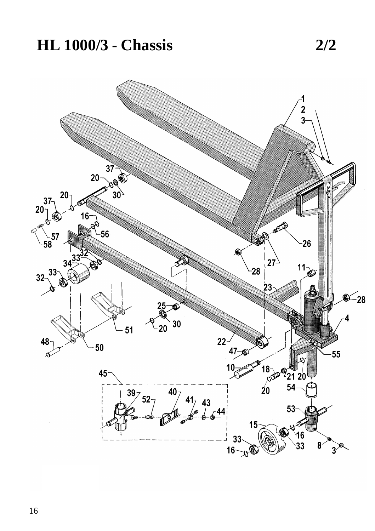## **HL 1000/3 - Chassis 2/2**

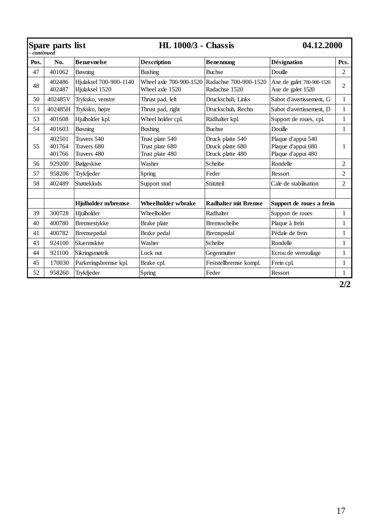|      | Spare parts list<br>$\bar{c}$ ontinue $\bar{d}$ |                                           | <b>HL 1000/3 - Chassis</b>                            |                                                                | 04.12.2000                                                     |                |
|------|-------------------------------------------------|-------------------------------------------|-------------------------------------------------------|----------------------------------------------------------------|----------------------------------------------------------------|----------------|
| Pos. | No.                                             | <b>Benævnelse</b>                         | <b>Description</b>                                    | <b>Benennung</b>                                               | Désignation                                                    | Pcs.           |
| 47   | 401062                                          | <b>B</b> øsning                           | <b>Bushing</b>                                        | <b>Buchse</b>                                                  | Douille                                                        | $\overline{2}$ |
| 48   | 402486<br>402487                                | Hiulaksel 700-900-1140<br>Hiulaksel 1520  | Wheel axle 1520                                       | Wheel axle 700-900-1520 Radachse 700-900-1520<br>Radachse 1520 | Axe de galet 700-900-1520<br>Axe de galet 1520                 | $\overline{2}$ |
| 50   | 402485V                                         | Tryksko, venstre                          | Thrust pad, left                                      | Druckschuh, Links                                              | Sabot d'avertissement, G                                       | $\mathbf{1}$   |
| 51   | 402485H                                         | Tryksko, højre                            | Thrust pad, right                                     | Druckschuh. Rechts                                             | Sabot d'avertissement. D                                       | $\mathbf{1}$   |
| 53   | 401608                                          | Hjulholder kpl.                           | Wheel holder cpl.                                     | Rädhalter kpl.                                                 | Support de roues, cpl.                                         | $\mathbf{1}$   |
| 54   | 401603                                          | Bøsning                                   | Bushing                                               | <b>Buchse</b>                                                  | Douille                                                        | $\mathbf{1}$   |
| 55   | 402501<br>401764<br>401766                      | Travers 540<br>Travers 680<br>Travers 480 | Trust plate 540<br>Trust plate 680<br>Trust plate 480 | Druck platte 540<br>Druck platte 680<br>Druck platte 480       | Plaque d'appui 540<br>Plaque d'appui 680<br>Plaque d'appui 480 | $\mathbf{1}$   |
| 56   | 929200                                          | Bølgeskive                                | Washer                                                | Scheibe                                                        | Rondelle                                                       | $\overline{2}$ |
| 57   | 958206                                          | Trykfjeder                                | Spring                                                | Feder                                                          | Ressort                                                        | $\overline{2}$ |
| 58   | 402489                                          | <b>Støtteklods</b>                        | Support stud                                          | Stützteil                                                      | Cale de stabilisation                                          | $\overline{c}$ |
|      |                                                 |                                           |                                                       |                                                                |                                                                |                |
|      |                                                 | Hjulholder m/bremse                       | Wheelholder w/brake                                   | <b>Radhalter mit Bremse</b>                                    | Support de roues a frein                                       |                |
| 39   | 300728                                          | Hiulholder                                | Wheelholder                                           | Radhalter                                                      | Support de roues                                               | $\mathbf{1}$   |
| 40   | 400780                                          | Bremsestykke                              | Brake plate                                           | <b>Bremsscheibe</b>                                            | Plaque à frein                                                 | $\mathbf{1}$   |
| 41   | 400782                                          | Bremsepedal                               | Brake pedal                                           | Bremspedal                                                     | Pédale de frein                                                | $\mathbf{1}$   |
| 43   | 924100                                          | Skærmskive                                | Washer                                                | Scheibe                                                        | Rondelle                                                       | $\mathbf{1}$   |
| 44   | 921100                                          | Sikringsmøtrik                            | Lock nut                                              | Gegenmutter                                                    | Ecrou de verrouilage                                           | $\mathbf{1}$   |
| 45   | 170030                                          | Parkeringsbremse kpl.                     | Brake cpl.                                            | Feststellbremse kompl.                                         | Frein cpl.                                                     | $\mathbf{1}$   |
| 52   | 958260                                          | Trykfjeder                                | Spring                                                | Feder                                                          | Ressort                                                        | $\mathbf{1}$   |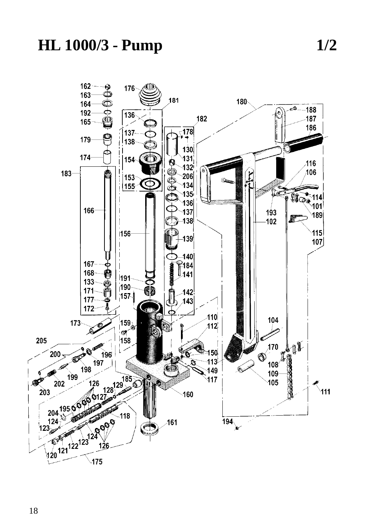

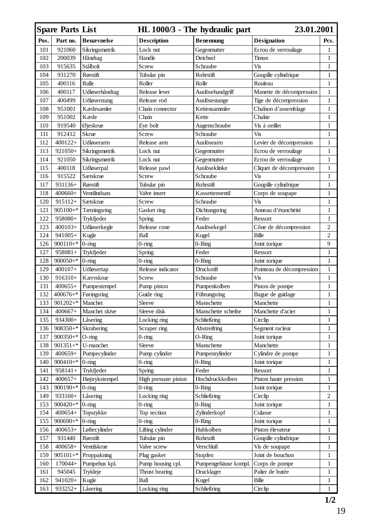|      | <b>Spare Parts List</b>  |                        |                          | HL 1000/3 - The hydraulic part | 23.01.2001                               |                |
|------|--------------------------|------------------------|--------------------------|--------------------------------|------------------------------------------|----------------|
| Pos. | Part no.                 | <b>Benævnelse</b>      | <b>Description</b>       | <b>Benennung</b>               | Désignation                              | Pcs.           |
| 101  | 921060                   | Sikringsmøtrik         | Lock nut                 | Gegenmutter                    | Ecrou de verrouilage                     | 1              |
| 102  | 200039                   | Håndtag                | Handle                   | Deichsel                       | Timon                                    | 1              |
| 103  | 915635                   | Stålbolt               | Screw                    | Schraube                       | Vis                                      | 1              |
| 104  | 931270                   | Rørstift               | Tubular pin              | Rohrstift                      | Goupille cylindrique                     | 1              |
| 105  | 400116                   | Rulle                  | Roller                   | Rolle                          | Rouleau                                  | $\mathbf{1}$   |
| 106  | 400117                   | Udløserhåndtag         | Release lever            | Auslösehandgriff               | Manette de décompression                 | 1              |
| 107  | 400499                   | Udløserstang           | Release rod              | Auslösestange                  | Tige de décompression                    | $\mathbf{1}$   |
| 108  | 951001                   | Kædesamler             | Chain connector          | Kettensammler                  | Chaînon d'assemblage                     | 1              |
| 109  | 951002                   | Kæde                   | Chain                    | Kette                          | Chaîne                                   | $\mathbf{1}$   |
| 110  | 919540                   | Øjeskrue               | Eye bolt                 | Augenschraube                  | Vis à oeillet                            | 1              |
| 111  | 912412                   | Skrue                  | Screw                    | Schraube                       | Vis                                      | 1              |
| 112  | $400122+$                | Udløserarm             | Release arm              | Auslösearm                     | Levier de décompression                  | $\mathbf{1}$   |
| 113  | 921050+                  | Sikringsmøtrik         | Lock nut                 | Gegenmutter                    | Ecrou de verrouilage                     | 1              |
| 114  | 921050                   | Sikringsmøtrik         | Lock nut                 | Gegenmutter                    | Ecrou de verrouilage                     | 1              |
| 115  | 400118                   | Udløserpal             | Release pawl             | Auslöseklinke                  | Cliquet de décompression                 | 1              |
| 116  | 915522                   | Sætskrue               | Screw                    | Schraube                       | Vis                                      | 1              |
| 117  | 931136+                  | Rørstift               | Tubular pin              | Rohrstift                      | Goupille cylindrique                     | $\mathbf{1}$   |
| 118  | $400660+$                | Ventilindsats          | Valve insert             | Kassettenventil                | Corps de soupape                         | 1              |
| 120  | $915112+$                | Sætskrue               | Screw                    | Schraube                       | Vis                                      | $\mathbf{1}$   |
| 121  | $905100+$ *              | Tætningsring           | Gasket ring              | Dichtungsring                  | Anneau d'étanchéité                      | 1              |
| 122  | 958080+                  | Trykfjeder             | Spring                   | Feder                          | Ressort                                  | 1              |
| 123  | $400103+$                | Udløserkegle           | Release cone             | Auslösekegel                   | Cône de décompression                    | $\overline{c}$ |
| 124  | $941005+$                | Kugle                  | Ball                     | Kugel                          | Bille                                    | $\overline{c}$ |
| 126  | $900110+$ *              | $0$ -ring              | $0$ -ring                | $0$ -Ring                      | Joint torique                            | 9              |
| 127  | $958081+$                | Trykfjeder             | Spring                   | Feder                          | Ressort                                  | 1              |
| 128  | $900050+$ *              | $0$ -ring              | $0$ -ring                | $0$ -Ring                      | Joint torique                            | $\mathbf{1}$   |
| 129  | $400107+$                | Udløsertap             | Release indicator        | Druckstift                     | Pointeau de décompression                | 1              |
| 130  | $916310+$                | Kærvskrue              | Screw                    | Schraube                       | Vis                                      | $\mathbf{1}$   |
| 131  | $400655+$                | Pumpestempel           | Pump piston              | Pumpenkolben                   | Piston de pompe                          | 1              |
| 132  | $400676+$ *              | Føringsring            | Guide ring               | Führungsring                   | Bague de guidage                         | $\mathbf{1}$   |
| 133  | $901202+$ *              | Manchet                | Sleeve                   | Manschette                     | Manchette                                | $\mathbf{1}$   |
| 134  | $400667+$                | Manchet skive          | Sleeve disk              | Manschette scheibe             | Manchette d'acier                        | 1              |
| 135  | 934300+                  | Låsering               | Locking ring             | Schließring                    | Circlip                                  | $\mathbf{1}$   |
| 136  | $908350+$ *              | Skrabering             | Scraper ring             | Abstreifring                   | Segment racleur                          | 1              |
| 137  | $900350+$ *              | $O$ -ring              | 0-ring                   | O-Ring                         | Joint torique                            | $\mathbf{1}$   |
| 138  | $901351+$ *              | U-manchet              | Sleeve                   | Manschette                     | Manchette                                | 1              |
| 139  | $400659+$                | Pumpecylinder          | Pump cylinder            | Pumpenzylinder                 | Cylindre de pompe                        | 1              |
| 140  | $900410+$ *              | $0$ -ring              | 0-ring                   | $0$ -Ring                      | Joint torique                            | $\mathbf{1}$   |
| 141  | $958141+$                | Trykfjeder             | Spring                   | Feder                          | Ressort                                  | 1              |
| 142  | $400657+$                | Højtrykstempel         | High pressure piston     | Hochdruckkolben                | Piston haute pression                    | 1              |
| 143  | $900190+$ *              | $0$ -ring              | 0-ring                   | 0-Ring                         | Joint torique                            | 1              |
| 149  | 933160+                  | Låsering               | Locking ring             |                                |                                          | $\overline{c}$ |
| 153  | $900420+$ *              |                        |                          | Schließring                    | Circlip                                  | $\mathbf{1}$   |
| 154  | $400654+$                | $0$ -ring<br>Topstykke | $0$ -ring<br>Top section | 0-Ring<br>Zylinderkopf         | Joint torique                            | 1              |
| 155  | 900690+ $*$ 0-ring       |                        |                          |                                | Culasse                                  | $\mathbf{1}$   |
| 156  | $400653+$                |                        | $0$ -ring                | $0 - \mathbf{R}$ ing           | Joint torique                            | $\,1$          |
|      |                          | Løftecylinder          | Lifting cylinder         | Hubkolben                      | Piston élevateur<br>Goupille cylindrique |                |
| 157  | 931440                   | Rørstift               | Tubular pin              | Rohrstift<br>Verschluß         |                                          | 1              |
| 158  | $400658+$                | Ventilskrue            | Valve screw              |                                | Vis de soupape                           | 1              |
| 159  | $905101+$ *<br>$170044+$ | Proppakning            | Plug gasket              | Stopfen                        | Joint de bouchon                         | 1              |
| 160  |                          | Pumpehus kpl.          | Pump housing cpl.        | Pumpengehäuse kompl.           | Corps de pompe                           | 1              |
| 161  | 945045                   | Trykleje               | Thrust bearing           | Drucklager                     | Palier de butée                          | 1              |
| 162  | 941020+                  | Kugle                  | Ball                     | Kugel                          | Bille                                    | $\mathbf{1}$   |
| 163  | 933252+                  | Låsering               | Locking ring             | Schließring                    | Circlip                                  | 1              |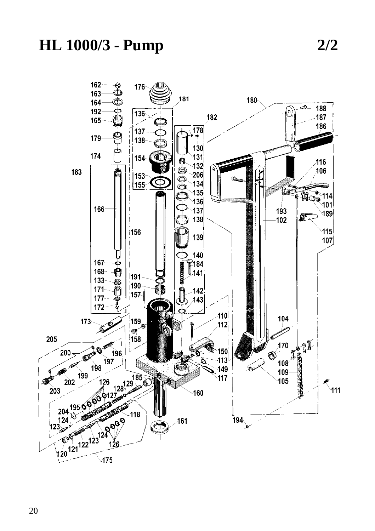## **HL 1000/3 - Pump**

 $2/2$